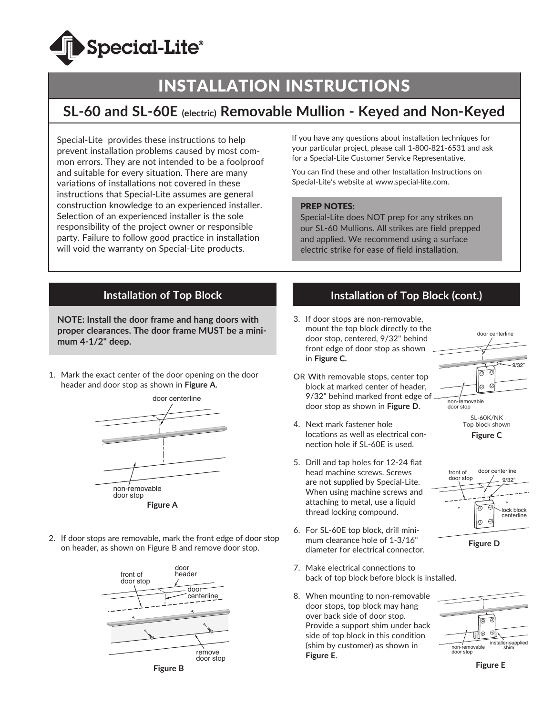

# INSTALLATION INSTRUCTIONS

## **SL-60 and SL-60E (electric) Removable Mullion - Keyed and Non-Keyed**

Special-Lite provides these instructions to help prevent installation problems caused by most common errors. They are not intended to be a foolproof and suitable for every situation. There are many variations of installations not covered in these instructions that Special-Lite assumes are general construction knowledge to an experienced installer. Selection of an experienced installer is the sole responsibility of the project owner or responsible party. Failure to follow good practice in installation will void the warranty on Special-Lite products.

If you have any questions about installation techniques for your particular project, please call 1-800-821-6531 and ask for a Special-Lite Customer Service Representative.

You can find these and other Installation Instructions on Special-Lite's website at www.special-lite.com.

#### PREP NOTES:

Special-Lite does NOT prep for any strikes on our SL-60 Mullions. All strikes are field prepped and applied. We recommend using a surface electric strike for ease of field installation.

#### **Installation of Top Block**

**NOTE: Install the door frame and hang doors with proper clearances. The door frame MUST be a minimum 4-1/2" deep.** 

1. Mark the exact center of the door opening on the door header and door stop as shown in **Figure A.**



- **Figure A**
- 2. If door stops are removable, mark the front edge of door stop on header, as shown on Figure B and remove door stop.



## **Installation of Top Block (cont.)**

- 3. If door stops are non-removable, mount the top block directly to the door stop, centered, 9/32" behind front edge of door stop as shown in **Figure C.**
- OR With removable stops, center top block at marked center of header, 9/32" behind marked front edge of door stop as shown in **Figure D**.
- 4. Next mark fastener hole locations as well as electrical connection hole if SL-60E is used.
- 5. Drill and tap holes for 12-24 flat head machine screws. Screws are not supplied by Special-Lite. When using machine screws and attaching to metal, use a liquid thread locking compound.
- 6. For SL-60E top block, drill minimum clearance hole of 1-3/16" diameter for electrical connector.
- 7. Make electrical connections to back of top block before block is installed.
- 8. When mounting to non-removable door stops, top block may hang over back side of door stop. Provide a support shim under back side of top block in this condition (shim by customer) as shown in **Figure E**.









**Figure E**